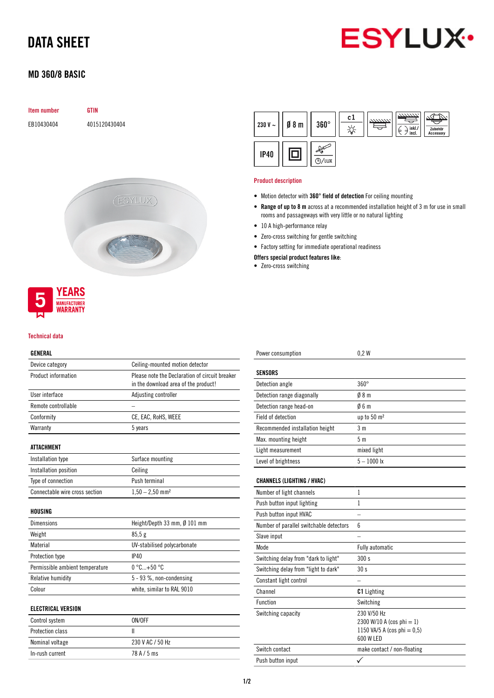# DATA SHEET



# MD 360/8 BASIC

|  | Item number |
|--|-------------|
|  |             |

EB10430404 4015120430404

**GTIN** 



#### Technical data

**MANUFACTURER** WARRANTY

## GENERAL

| ulnlnal                         |                                                                                        |
|---------------------------------|----------------------------------------------------------------------------------------|
| Device category                 | Ceiling-mounted motion detector                                                        |
| Product information             | Please note the Declaration of circuit breaker<br>in the download area of the product! |
| User interface                  | Adjusting controller                                                                   |
| Remote controllable             |                                                                                        |
| Conformity                      | CE, EAC, RoHS, WEEE                                                                    |
| Warranty                        | 5 years                                                                                |
| ATTACHMENT                      |                                                                                        |
| Installation type               | Surface mounting                                                                       |
| Installation position           | Ceiling                                                                                |
| Type of connection              | Push terminal                                                                          |
| Connectable wire cross section  | $1,50 - 2,50$ mm <sup>2</sup>                                                          |
| HOUSING                         |                                                                                        |
| <b>Dimensions</b>               | Height/Depth 33 mm, Ø 101 mm                                                           |
| Weight                          | 85.5g                                                                                  |
| Material                        | UV-stabilised polycarbonate                                                            |
| Protection type                 | IP40                                                                                   |
| Permissible ambient temperature | $0^{\circ}$ C +50 $^{\circ}$ C                                                         |
| <b>Relative humidity</b>        | 5 - 93 %, non-condensing                                                               |
| Colour                          | white, similar to RAL 9010                                                             |
| <b>ELECTRICAL VERSION</b>       |                                                                                        |
| Control system                  | ON/OFF                                                                                 |
| <b>Protection class</b>         | $\mathbf{I}$                                                                           |
| Nominal voltage                 | 230 V AC / 50 Hz                                                                       |

In-rush current 78 A / 5 ms



#### Product description

- Motion detector with 360° field of detection For ceiling mounting
- Range of up to 8 m across at a recommended installation height of 3 m for use in small rooms and passageways with very little or no natural lighting
- 10 A high-performance relay
- Zero-cross switching for gentle switching
- Factory setting for immediate operational readiness

## Offers special product features like:

• Zero-cross switching

| Power consumption                       | 0.2W                                                                                    |
|-----------------------------------------|-----------------------------------------------------------------------------------------|
| <b>SENSORS</b>                          |                                                                                         |
| Detection angle                         | $360^\circ$                                                                             |
| Detection range diagonally              | $0/8$ m                                                                                 |
| Detection range head-on                 | 06m                                                                                     |
| Field of detection                      | up to 50 m <sup>2</sup>                                                                 |
| Recommended installation height         | 3 <sub>m</sub>                                                                          |
| Max. mounting height                    | 5 m                                                                                     |
| Light measurement                       | mixed light                                                                             |
| Level of brightness                     | $5 - 1000$ lx                                                                           |
| <b>CHANNELS (LIGHTING / HVAC)</b>       |                                                                                         |
| Number of light channels                | $\mathbf{1}$                                                                            |
| Push button input lighting              | 1                                                                                       |
| Push button input HVAC                  |                                                                                         |
| Number of parallel switchable detectors | 6                                                                                       |
| Slave input                             |                                                                                         |
| Mode                                    | Fully automatic                                                                         |
| Switching delay from "dark to light"    | 300 s                                                                                   |
| Switching delay from "light to dark"    | 30 <sub>s</sub>                                                                         |
| Constant light control                  |                                                                                         |
| Channel                                 | <b>C1</b> Lighting                                                                      |
| Function                                | Switching                                                                               |
| Switching capacity                      | 230 V/50 Hz<br>2300 W/10 A (cos phi = 1)<br>1150 VA/5 A (cos phi = $0,5$ )<br>600 W LED |
| Switch contact                          | make contact / non-floating                                                             |
| Push button input                       |                                                                                         |
|                                         |                                                                                         |